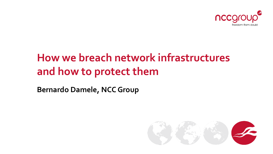

# **How we breach network infrastructures and how to protect them**

**Bernardo Damele, NCC Group**

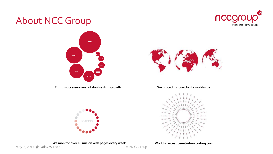

## About NCC Group



**Eighth successive year of double digit growth We protect 15,000 clients worldwide**





**We monitor over 16 million web pages every week World's largest penetration testing team**<br>Vired?

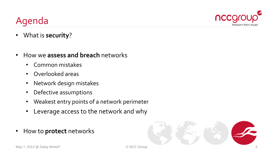# Agenda



- What is **security**?
- How we **assess and breach** networks
	- Common mistakes
	- Overlooked areas
	- Network design mistakes
	- Defective assumptions
	- Weakest entry points of a network perimeter
	- Leverage access to the network and why
- How to **protect** networks

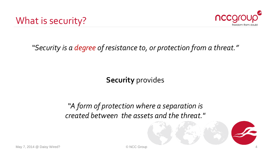



*"Security is a degree of resistance to, or protection from a threat."*

**Security** provides

*"A form of protection where a separation is created between the assets and the threat."*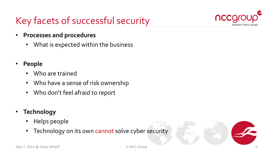# Key facets of successful security



- **Processes and procedures**
	- What is expected within the business
- **People**
	- Who are trained
	- Who have a sense of risk ownership
	- Who don't feel afraid to report
- **Technology**
	- Helps people
	- Technology on its own cannot solve cyber security

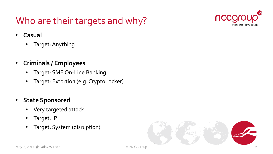# Who are their targets and why?



- **Casual**
	- Target: Anything
- **Criminals / Employees**
	- Target: SME On-Line Banking
	- Target: Extortion (e.g. CryptoLocker)
- **State Sponsored**
	- Very targeted attack
	- Target: IP
	- Target: System (disruption)

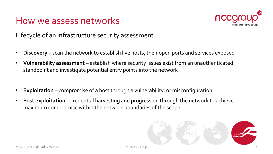



Lifecycle of an infrastructure security assessment

- **Discovery** scan the network to establish live hosts, their open ports and services exposed
- **Vulnerability assessment** establish where security issues exist from an unauthenticated standpoint and investigate potential entry points into the network
- **Exploitation** compromise of a host through a vulnerability, or misconfiguration
- **Post exploitation** credential harvesting and progression through the network to achieve maximum compromise within the network boundaries of the scope

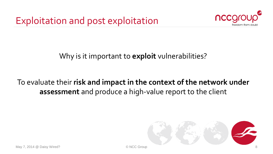

### Why is it important to **exploit** vulnerabilities?

### To evaluate their **risk and impact in the context of the network under assessment** and produce a high-value report to the client

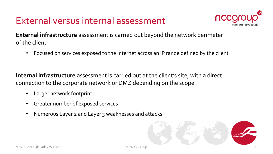

**External infrastructure** assessment is carried out beyond the network perimeter of the client

• Focused on services exposed to the Internet across an IP range defined by the client

**Internal infrastructure** assessment is carried out at the client's site, with a direct connection to the corporate network or DMZ depending on the scope

- Larger network footprint
- Greater number of exposed services
- Numerous Layer 2 and Layer 3 weaknesses and attacks

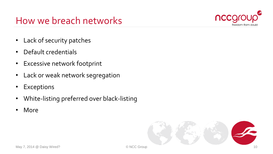### How we breach networks



- Lack of security patches
- Default credentials
- Excessive network footprint
- Lack or weak network segregation
- Exceptions
- White-listing preferred over black-listing
- More

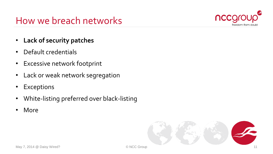### How we breach networks



- **Lack of security patches**
- Default credentials
- Excessive network footprint
- Lack or weak network segregation
- Exceptions
- White-listing preferred over black-listing
- More

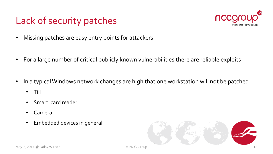# Lack of security patches



- Missing patches are easy entry points for attackers
- For a large number of critical publicly known vulnerabilities there are reliable exploits
- In a typical Windows network changes are high that one workstation will not be patched
	- Till
	- Smart card reader
	- Camera
	- Embedded devices in general

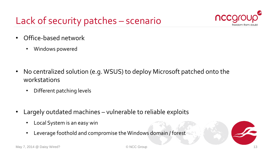# Lack of security patches – scenario



- Office-based network
	- Windows powered

- No centralized solution (e.g. WSUS) to deploy Microsoft patched onto the workstations
	- Different patching levels
- Largely outdated machines vulnerable to reliable exploits
	- Local System is an easy win
	- Leverage foothold and compromise the Windows domain / forest

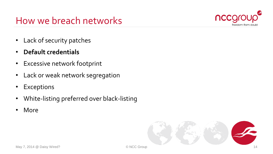### How we breach networks



- Lack of security patches
- **Default credentials**
- Excessive network footprint
- Lack or weak network segregation
- Exceptions
- White-listing preferred over black-listing
- More

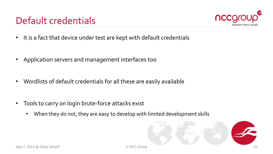## Default credentials



- It is a fact that device under test are kept with default credentials
- Application servers and management interfaces too
- Wordlists of default credentials for all these are easily available
- Tools to carry on login brute-force attacks exist
	- When they do not, they are easy to develop with limited development skills

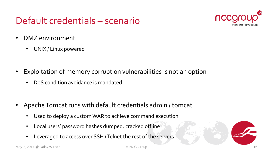## Default credentials – scenario



- DMZ environment
	- UNIX / Linux powered
- Exploitation of memory corruption vulnerabilities is not an option
	- DoS condition avoidance is mandated

- Apache Tomcat runs with default credentials admin / tomcat
	- Used to deploy a custom WAR to achieve command execution
	- Local users' password hashes dumped, cracked offline
	- Leveraged to access over SSH / Telnet the rest of the servers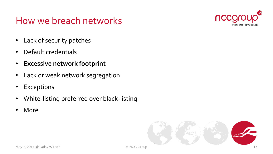### How we breach networks



- Lack of security patches
- Default credentials
- **Excessive network footprint**
- Lack or weak network segregation
- Exceptions
- White-listing preferred over black-listing
- More

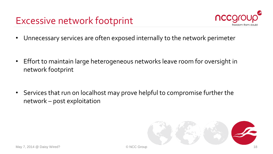

• Unnecessary services are often exposed internally to the network perimeter

- Effort to maintain large heterogeneous networks leave room for oversight in network footprint
- Services that run on localhost may prove helpful to compromise further the network – post exploitation

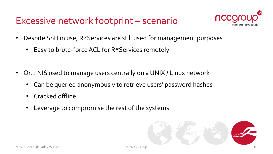# Excessive network footprint – scenario



- Despite SSH in use, R\*Services are still used for management purposes
	- Easy to brute-force ACL for R\*Services remotely
- Or… NIS used to manage users centrally on a UNIX / Linux network
	- Can be queried anonymously to retrieve users' password hashes
	- Cracked offline
	- Leverage to compromise the rest of the systems

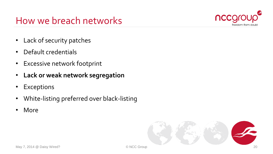### How we breach networks



- Lack of security patches
- Default credentials
- Excessive network footprint
- **Lack or weak network segregation**
- Exceptions
- White-listing preferred over black-listing
- More

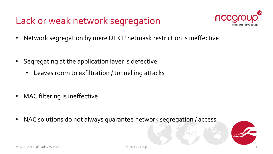Lack or weak network segregation



• Network segregation by mere DHCP netmask restriction is ineffective

- Segregating at the application layer is defective
	- Leaves room to exfiltration / tunnelling attacks
- MAC filtering is ineffective
- NAC solutions do not always guarantee network segregation / access

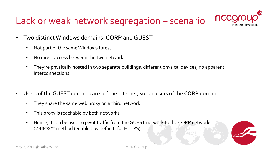# Lack or weak network segregation – scenario



- Two distinct Windows domains: **CORP** and GUEST
	- Not part of the same Windows forest
	- No direct access between the two networks
	- They're physically hosted in two separate buildings, different physical devices, no apparent interconnections
- Users of the GUEST domain can surf the Internet, so can users of the **CORP** domain
	- They share the same web proxy on a third network
	- This proxy is reachable by both networks
	- Hence, it can be used to pivot traffic from the GUEST network to the CORP network CONNECT method (enabled by default, for HTTPS)

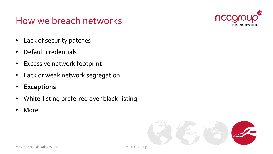### How we breach networks



- Lack of security patches
- Default credentials
- Excessive network footprint
- Lack or weak network segregation
- **Exceptions**
- White-listing preferred over black-listing
- More

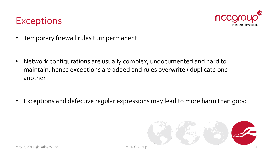



• Temporary firewall rules turn permanent

• Network configurations are usually complex, undocumented and hard to maintain, hence exceptions are added and rules overwrite / duplicate one another

• Exceptions and defective regular expressions may lead to more harm than good

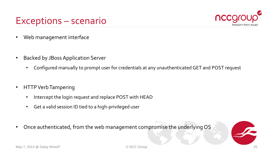### Exceptions – scenario



- Web management interface
- Backed by JBoss Application Server
	- Configured manually to prompt user for credentials at any unauthenticated GET and POST request
- HTTP Verb Tampering
	- Intercept the login request and replace POST with HEAD
	- Get a valid session ID tied to a high-privileged user
- Once authenticated, from the web management compromise the underlying OS

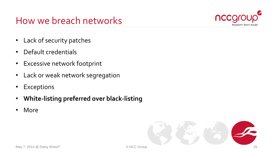### How we breach networks



- Lack of security patches
- Default credentials
- Excessive network footprint
- Lack or weak network segregation
- Exceptions
- **White-listing preferred over black-listing**
- More

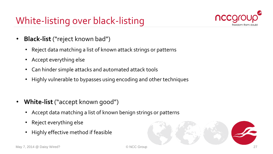

- **Black-list** ("reject known bad")
	- Reject data matching a list of known attack strings or patterns
	- Accept everything else
	- Can hinder simple attacks and automated attack tools
	- Highly vulnerable to bypasses using encoding and other techniques
- **White-list** ("accept known good")
	- Accept data matching a list of known benign strings or patterns
	- Reject everything else
	- Highly effective method if feasible

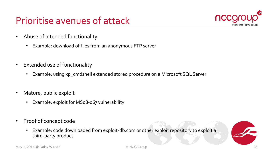# Prioritise avenues of attack



- Abuse of intended functionality
	- Example: download of files from an anonymous FTP server
- Extended use of functionality
	- Example: using xp\_cmdshell extended stored procedure on a Microsoft SQL Server
- Mature, public exploit
	- Example: exploit for MS08-067 vulnerability
- Proof of concept code
	- Example: code downloaded from exploit-db.com or other exploit repository to exploit a third-party product

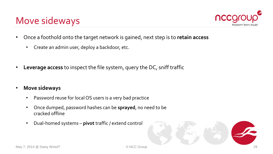### Move sideways



- Once a foothold onto the target network is gained, next step is to **retain access**
	- Create an admin user, deploy a backdoor, etc.
- **Leverage access** to inspect the file system, query the DC, sniff traffic
- **Move sideways**
	- Password reuse for local OS users is a very bad practice
	- Once dumped, password hashes can be **sprayed**, no need to be cracked offline
	- Dual-homed systems **pivot** traffic / extend control

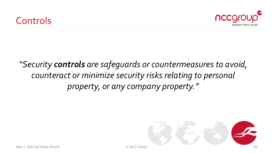

## *"Security controls are safeguards or countermeasures to avoid, counteract or minimize security risks relating to personal property, or any company property."*

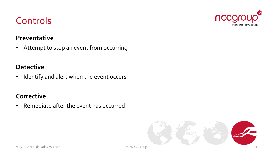# **Detective**

Controls

**Preventative**

• Identify and alert when the event occurs

• Attempt to stop an event from occurring

### **Corrective**

• Remediate after the event has occurred



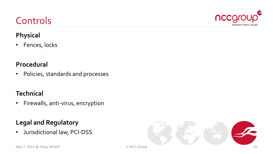### • Fences, locks

**Physical**

Controls

#### **Procedural**

• Policies, standards and processes

### **Technical**

• Firewalls, anti-virus, encryption

### **Legal and Regulatory**

• Jurisdictional law, PCI-DSS





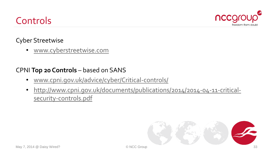## Controls



### Cyber Streetwise

• [www.cyberstreetwise.com](http://www.cyberstreetwise.com/)

#### CPNI **Top 20 Controls** – based on SANS

- [www.cpni.gov.uk/advice/cyber/Critical-controls/](http://www.cpni.gov.uk/advice/cyber/Critical-controls/)
- [http://www.cpni.gov.uk/documents/publications/2014/2014-04-11-critical](http://www.cpni.gov.uk/documents/publications/2014/2014-04-11-critical-security-controls.pdf)security-controls.pdf

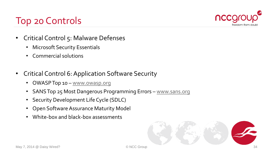

- Critical Control 5: Malware Defenses
	- Microsoft Security Essentials
	- Commercial solutions
- Critical Control 6: Application Software Security
	- OWASP Top 10 [www.owasp.org](http://www.owasp.org/)
	- SANS Top 25 Most Dangerous Programming Errors [www.sans.org](http://www.sans.org/)
	- Security Development Life Cycle (SDLC)
	- Open Software Assurance Maturity Model
	- White-box and black-box assessments

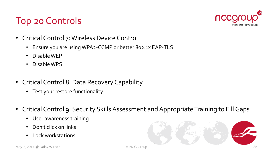

- Critical Control 7: Wireless Device Control
	- Ensure you are using WPA2-CCMP or better 802.1x EAP-TLS
	- Disable WEP
	- Disable WPS
- Critical Control 8: Data Recovery Capability
	- Test your restore functionality
- Critical Control 9: Security Skills Assessment and Appropriate Training to Fill Gaps
	- User awareness training
	- Don't click on links
	- Lock workstations

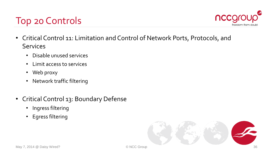

- Critical Control 11: Limitation and Control of Network Ports, Protocols, and **Services** 
	- Disable unused services
	- Limit access to services
	- Web proxy
	- Network traffic filtering
- Critical Control 13: Boundary Defense
	- Ingress filtering
	- Egress filtering

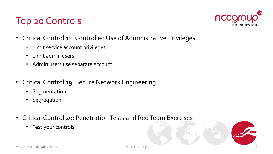

- Critical Control 12: Controlled Use of Administrative Privileges
	- Limit service account privileges
	- Limit admin users
	- Admin users use separate account
- Critical Control 19: Secure Network Engineering
	- Segmentation
	- Segregation
- Critical Control 20: Penetration Tests and Red Team Exercises
	- Test your controls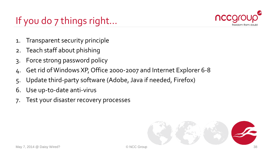# If you do 7 things right...



- 1. Transparent security principle
- 2. Teach staff about phishing
- 3. Force strong password policy
- 4. Get rid of Windows XP, Office 2000-2007 and Internet Explorer 6-8
- 5. Update third-party software (Adobe, Java if needed, Firefox)
- 6. Use up-to-date anti-virus
- 7. Test your disaster recovery processes

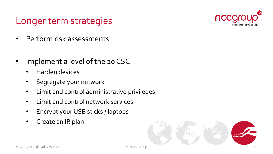

### Longer term strategies

- Perform risk assessments
- Implement a level of the 20 CSC
	- Harden devices
	- Segregate your network
	- Limit and control administrative privileges
	- Limit and control network services
	- Encrypt your USB sticks / laptops
	- Create an IR plan

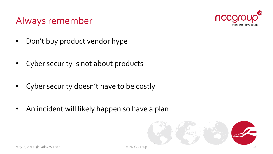

## Always remember

- Don't buy product vendor hype
- Cyber security is not about products
- Cyber security doesn't have to be costly
- An incident will likely happen so have a plan

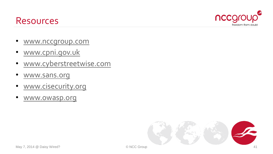



- www.nccgroup.com
- www.cpni.gov.uk
- [www.cyberstreetwise.com](http://www.cyberstreetwise.com/)
- [www.sans.org](http://www.sans.org/)
- [www.cisecurity.org](http://www.cisecurity.org/)
- [www.owasp.org](http://www.owasp.org/)